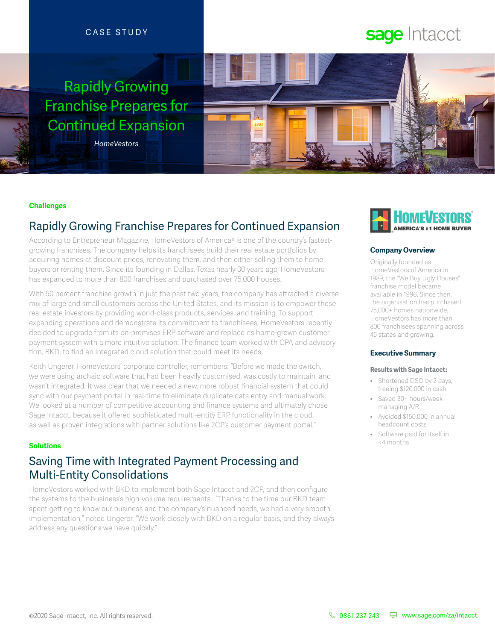#### CASE STUDY

## Rapidly Growing Franchise Prepares for Continued Expansion

*HomeVestors*

# sage Intacct



#### **Challenges**

## Rapidly Growing Franchise Prepares for Continued Expansion

According to Entrepreneur Magazine, HomeVestors of America® is one of the country's fastestgrowing franchises. The company helps its franchisees build their real estate portfolios by acquiring homes at discount prices, renovating them, and then either selling them to home buyers or renting them. Since its founding in Dallas, Texas nearly 30 years ago, HomeVestors has expanded to more than 800 franchises and purchased over 75,000 houses.

With 50 percent franchise growth in just the past two years, the company has attracted a diverse mix of large and small customers across the United States, and its mission is to empower these real estate investors by providing world-class products, services, and training. To support expanding operations and demonstrate its commitment to franchisees, HomeVestors recently decided to upgrade from its on-premises ERP software and replace its home-grown customer payment system with a more intuitive solution. The finance team worked with CPA and advisory firm, BKD, to find an integrated cloud solution that could meet its needs.

Keith Ungerer, HomeVestors' corporate controller, remembers: "Before we made the switch, we were using archaic software that had been heavily customised, was costly to maintain, and wasn't integrated. It was clear that we needed a new, more robust financial system that could sync with our payment portal in real-time to eliminate duplicate data entry and manual work. We looked at a number of competitive accounting and finance systems and ultimately chose Sage Intacct, because it offered sophisticated multi-entity ERP functionality in the cloud, as well as proven integrations with partner solutions like 2CP's customer payment portal."

#### **Solutions**

## Saving Time with Integrated Payment Processing and Multi-Entity Consolidations

HomeVestors worked with BKD to implement both Sage Intacct and 2CP, and then configure the systems to the business's high-volume requirements. "Thanks to the time our BKD team spent getting to know our business and the company's nuanced needs, we had a very smooth implementation," noted Ungerer. "We work closely with BKD on a regular basis, and they always address any questions we have quickly."



#### **Company Overview**

Originally founded as HomeVestors of America in 1989, the "We Buy Ugly Houses" franchise model became available in 1996. Since then, the organisation has purchased 75,000+ homes nationwide. HomeVestors has more than 800 franchisees spanning across 45 states and growing.

#### **Executive Summary**

#### **Results with Sage Intacct:**

- Shortened DSO by 2 days. freeing \$120,000 in cash
- Saved 30+ hours/week managing A/R
- Avoided \$150,000 in annual headcount costs
- Software paid for itself in <4 months